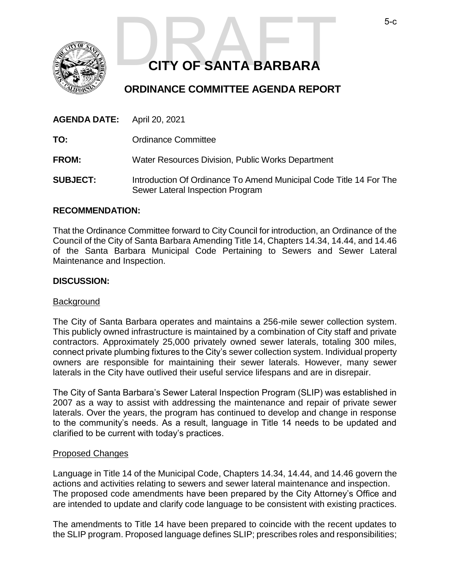

# **CITY OF SANTA BARBARA** S-C CITY OF SANTA BARBARA

# **ORDINANCE COMMITTEE AGENDA REPORT**

| <b>AGENDA DATE:</b> April 20, 2021 |                                                                                                        |
|------------------------------------|--------------------------------------------------------------------------------------------------------|
| TO:                                | <b>Ordinance Committee</b>                                                                             |
| <b>FROM:</b>                       | Water Resources Division, Public Works Department                                                      |
| <b>SUBJECT:</b>                    | Introduction Of Ordinance To Amend Municipal Code Title 14 For The<br>Sewer Lateral Inspection Program |

#### **RECOMMENDATION:**

That the Ordinance Committee forward to City Council for introduction, an Ordinance of the Council of the City of Santa Barbara Amending Title 14, Chapters 14.34, 14.44, and 14.46 of the Santa Barbara Municipal Code Pertaining to Sewers and Sewer Lateral Maintenance and Inspection.

#### **DISCUSSION:**

#### Background

The City of Santa Barbara operates and maintains a 256-mile sewer collection system. This publicly owned infrastructure is maintained by a combination of City staff and private contractors. Approximately 25,000 privately owned sewer laterals, totaling 300 miles, connect private plumbing fixtures to the City's sewer collection system. Individual property owners are responsible for maintaining their sewer laterals. However, many sewer laterals in the City have outlived their useful service lifespans and are in disrepair.

The City of Santa Barbara's Sewer Lateral Inspection Program (SLIP) was established in 2007 as a way to assist with addressing the maintenance and repair of private sewer laterals. Over the years, the program has continued to develop and change in response to the community's needs. As a result, language in Title 14 needs to be updated and clarified to be current with today's practices.

#### Proposed Changes

Language in Title 14 of the Municipal Code, Chapters 14.34, 14.44, and 14.46 govern the actions and activities relating to sewers and sewer lateral maintenance and inspection. The proposed code amendments have been prepared by the City Attorney's Office and are intended to update and clarify code language to be consistent with existing practices.

The amendments to Title 14 have been prepared to coincide with the recent updates to the SLIP program. Proposed language defines SLIP; prescribes roles and responsibilities;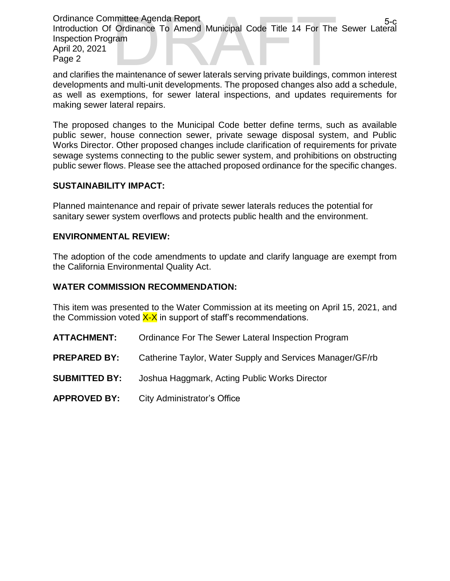Ordinance Committee Agenda Report Introduction Of Ordinance To Amend Municipal Code Title 14 For The Sewer Lateral Inspection Program April 20, 2021 Page 2 nmittee Agenda Report<br>
Ordinance To Amend Municipal Code Title 14 For The Sewer Lateral<br>
ram<br>
private buildings, common interest<br>
private buildings, common interest

and clarifies the maintenance of sewer laterals serving private buildings, common interest developments and multi-unit developments. The proposed changes also add a schedule, as well as exemptions, for sewer lateral inspections, and updates requirements for making sewer lateral repairs.

The proposed changes to the Municipal Code better define terms, such as available public sewer, house connection sewer, private sewage disposal system, and Public Works Director. Other proposed changes include clarification of requirements for private sewage systems connecting to the public sewer system, and prohibitions on obstructing public sewer flows. Please see the attached proposed ordinance for the specific changes.

#### **SUSTAINABILITY IMPACT:**

Planned maintenance and repair of private sewer laterals reduces the potential for sanitary sewer system overflows and protects public health and the environment.

### **ENVIRONMENTAL REVIEW:**

The adoption of the code amendments to update and clarify language are exempt from the California Environmental Quality Act.

#### **WATER COMMISSION RECOMMENDATION:**

This item was presented to the Water Commission at its meeting on April 15, 2021, and the Commission voted  $X-X$  in support of staff's recommendations.

- **ATTACHMENT:** Ordinance For The Sewer Lateral Inspection Program
- **PREPARED BY:** Catherine Taylor, Water Supply and Services Manager/GF/rb
- **SUBMITTED BY:** Joshua Haggmark, Acting Public Works Director
- **APPROVED BY:** City Administrator's Office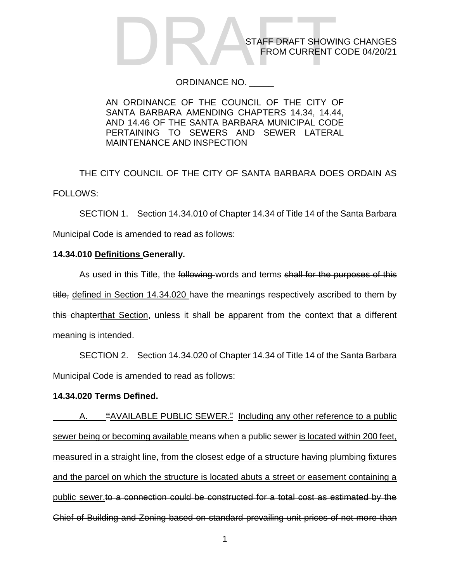#### ORDINANCE NO. \_\_\_\_\_

AN ORDINANCE OF THE COUNCIL OF THE CITY OF SANTA BARBARA AMENDING CHAPTERS 14.34, 14.44, AND 14.46 OF THE SANTA BARBARA MUNICIPAL CODE PERTAINING TO SEWERS AND SEWER LATERAL MAINTENANCE AND INSPECTION

THE CITY COUNCIL OF THE CITY OF SANTA BARBARA DOES ORDAIN AS FOLLOWS:

SECTION 1. Section 14.34.010 of Chapter 14.34 of Title 14 of the Santa Barbara Municipal Code is amended to read as follows:

### **14.34.010 Definitions Generally.**

As used in this Title, the following words and terms shall for the purposes of this title, defined in Section 14.34.020 have the meanings respectively ascribed to them by this chapterthat Section, unless it shall be apparent from the context that a different meaning is intended.

SECTION 2. Section 14.34.020 of Chapter 14.34 of Title 14 of the Santa Barbara Municipal Code is amended to read as follows:

## **14.34.020 Terms Defined.**

A. **"**AVAILABLE PUBLIC SEWER." Including any other reference to a public sewer being or becoming available means when a public sewer is located within 200 feet, measured in a straight line, from the closest edge of a structure having plumbing fixtures and the parcel on which the structure is located abuts a street or easement containing a public sewer.to a connection could be constructed for a total cost as estimated by the Chief of Building and Zoning based on standard prevailing unit prices of not more than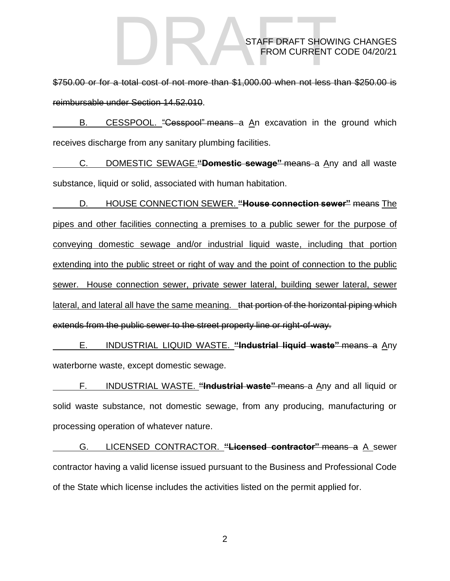\$750.00 or for a total cost of not more than \$1,000.00 when not less than \$250.00 is reimbursable under Section 14.52.010.

B. CESSPOOL. "Cesspool" means a An excavation in the ground which receives discharge from any sanitary plumbing facilities.

C. DOMESTIC SEWAGE.**"Domestic sewage"** means a Any and all waste substance, liquid or solid, associated with human habitation.

D. HOUSE CONNECTION SEWER. **"House connection sewer"** means The pipes and other facilities connecting a premises to a public sewer for the purpose of conveying domestic sewage and/or industrial liquid waste, including that portion extending into the public street or right of way and the point of connection to the public sewer. House connection sewer, private sewer lateral, building sewer lateral, sewer lateral, and lateral all have the same meaning. that portion of the horizontal piping which extends from the public sewer to the street property line or right-of-way.

E. INDUSTRIAL LIQUID WASTE. **"Industrial liquid waste"** means a Any waterborne waste, except domestic sewage.

F. INDUSTRIAL WASTE. **"Industrial waste"** means a Any and all liquid or solid waste substance, not domestic sewage, from any producing, manufacturing or processing operation of whatever nature.

G. LICENSED CONTRACTOR. **"Licensed contractor"** means a A sewer contractor having a valid license issued pursuant to the Business and Professional Code of the State which license includes the activities listed on the permit applied for.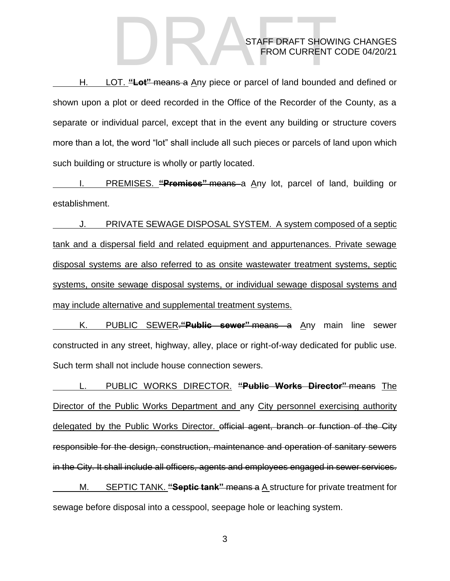H. LOT. **"Lot"** means a Any piece or parcel of land bounded and defined or shown upon a plot or deed recorded in the Office of the Recorder of the County, as a separate or individual parcel, except that in the event any building or structure covers more than a lot, the word "lot" shall include all such pieces or parcels of land upon which such building or structure is wholly or partly located.

I. PREMISES. **"Premises"** means a Any lot, parcel of land, building or establishment.

J. PRIVATE SEWAGE DISPOSAL SYSTEM. A system composed of a septic tank and a dispersal field and related equipment and appurtenances. Private sewage disposal systems are also referred to as onsite wastewater treatment systems, septic systems, onsite sewage disposal systems, or individual sewage disposal systems and may include alternative and supplemental treatment systems.

K. PUBLIC SEWER.**"Public sewer"** means a Any main line sewer constructed in any street, highway, alley, place or right-of-way dedicated for public use. Such term shall not include house connection sewers.

L. PUBLIC WORKS DIRECTOR. **"Public Works Director"** means The Director of the Public Works Department and any City personnel exercising authority delegated by the Public Works Director. official agent, branch or function of the City responsible for the design, construction, maintenance and operation of sanitary sewers in the City. It shall include all officers, agents and employees engaged in sewer services. M. SEPTIC TANK. **"Septic tank"** means a A structure for private treatment for

sewage before disposal into a cesspool, seepage hole or leaching system.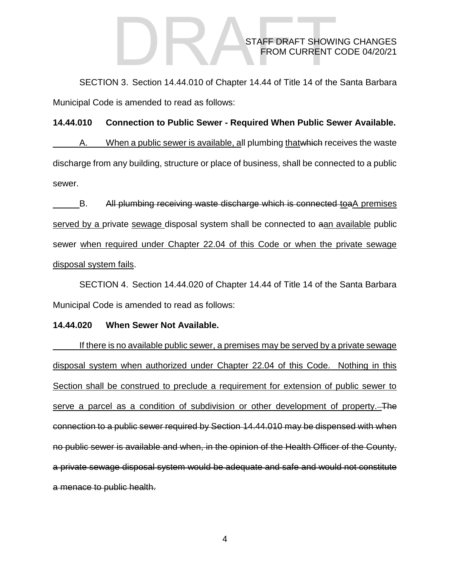SECTION 3. Section 14.44.010 of Chapter 14.44 of Title 14 of the Santa Barbara Municipal Code is amended to read as follows:

#### **14.44.010 Connection to Public Sewer - [Required When Public Sewer Available.](http://qcode.us/codes/santabarbara/view.php?topic=14-14_44-14_44_010&frames=on)**

A. When a public sewer is available, all plumbing that which receives the waste discharge from any building, structure or place of business, shall be connected to a public sewer.

B. All plumbing receiving waste discharge which is connected toaA premises served by a private sewage disposal system shall be connected to aan available public sewer when required under Chapter 22.04 of this Code or when the private sewage disposal system fails.

SECTION 4. Section 14.44.020 of Chapter 14.44 of Title 14 of the Santa Barbara Municipal Code is amended to read as follows:

#### **14.44.020 [When Sewer Not Available.](http://qcode.us/codes/santabarbara/view.php?topic=14-14_44-14_44_020&frames=on)**

If there is no available public sewer, a premises may be served by a private sewage disposal system when authorized under Chapter 22.04 of this Code. Nothing in this Section shall be construed to preclude a requirement for extension of public sewer to serve a parcel as a condition of subdivision or other development of property. The connection to a public sewer required by Section 14.44.010 may be dispensed with when no public sewer is available and when, in the opinion of the Health Officer of the County, a private sewage disposal system would be adequate and safe and would not constitute a menace to public health.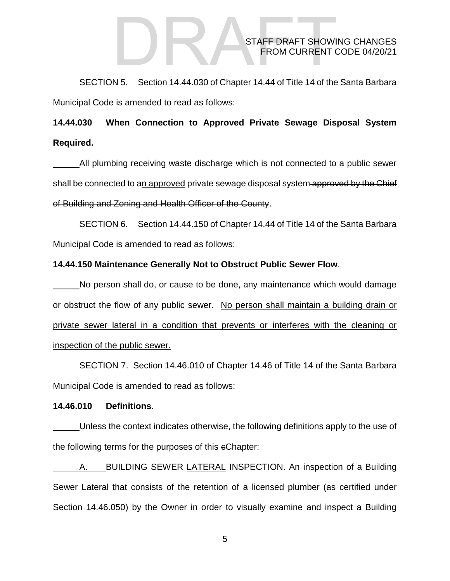SECTION 5. Section 14.44.030 of Chapter 14.44 of Title 14 of the Santa Barbara Municipal Code is amended to read as follows:

# **14.44.030 [When Connection to Approved Private Sewage Disposal System](http://qcode.us/codes/santabarbara/view.php?topic=14-14_44-14_44_030&frames=on)  [Required.](http://qcode.us/codes/santabarbara/view.php?topic=14-14_44-14_44_030&frames=on)**

All plumbing receiving waste discharge which is not connected to a public sewer shall be connected to an approved private sewage disposal system approved by the Chief of Building and Zoning and Health Officer of the County.

SECTION 6. Section 14.44.150 of Chapter 14.44 of Title 14 of the Santa Barbara Municipal Code is amended to read as follows:

#### **14.44.150 Maintenance Generally Not to Obstruct Public Sewer Flow**.

No person shall do, or cause to be done, any maintenance which would damage or obstruct the flow of any public sewer. No person shall maintain a building drain or private sewer lateral in a condition that prevents or interferes with the cleaning or inspection of the public sewer.

SECTION 7. Section 14.46.010 of Chapter 14.46 of Title 14 of the Santa Barbara Municipal Code is amended to read as follows:

#### **14.46.010 Definitions**.

Unless the context indicates otherwise, the following definitions apply to the use of the following terms for the purposes of this cChapter:

A. BUILDING SEWER LATERAL INSPECTION. An inspection of a Building Sewer Lateral that consists of the retention of a licensed plumber (as certified under Section 14.46.050) by the Owner in order to visually examine and inspect a Building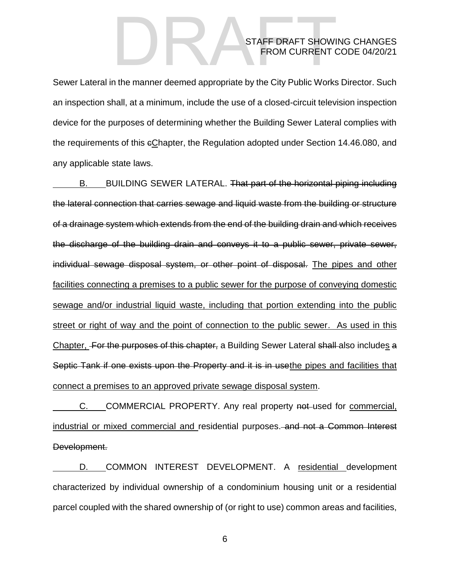Sewer Lateral in the manner deemed appropriate by the City Public Works Director. Such an inspection shall, at a minimum, include the use of a closed-circuit television inspection device for the purposes of determining whether the Building Sewer Lateral complies with the requirements of this cChapter, the Regulation adopted under Section 14.46.080, and any applicable state laws.

B. BUILDING SEWER LATERAL. That part of the horizontal piping including the lateral connection that carries sewage and liquid waste from the building or structure of a drainage system which extends from the end of the building drain and which receives the discharge of the building drain and conveys it to a public sewer, private sewer, individual sewage disposal system, or other point of disposal. The pipes and other facilities connecting a premises to a public sewer for the purpose of conveying domestic sewage and/or industrial liquid waste, including that portion extending into the public street or right of way and the point of connection to the public sewer. As used in this Chapter, For the purposes of this chapter, a Building Sewer Lateral shall also includes a Septic Tank if one exists upon the Property and it is in usethe pipes and facilities that connect a premises to an approved private sewage disposal system.

C. COMMERCIAL PROPERTY. Any real property not-used for commercial, industrial or mixed commercial and residential purposes. and not a Common Interest Development.

D. COMMON INTEREST DEVELOPMENT. A residential development characterized by individual ownership of a condominium housing unit or a residential parcel coupled with the shared ownership of (or right to use) common areas and facilities,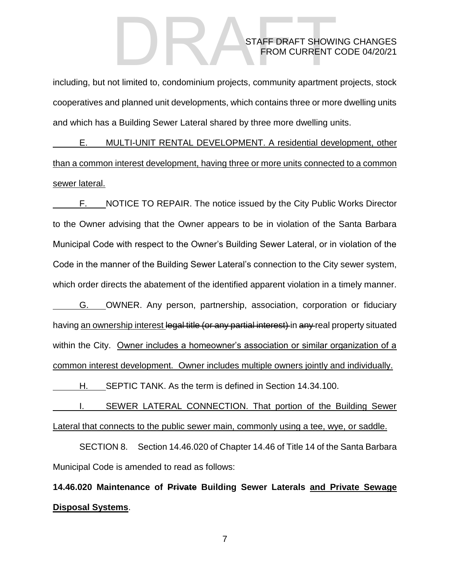including, but not limited to, condominium projects, community apartment projects, stock cooperatives and planned unit developments, which contains three or more dwelling units and which has a Building Sewer Lateral shared by three more dwelling units.

E. MULTI-UNIT RENTAL DEVELOPMENT. A residential development, other than a common interest development, having three or more units connected to a common sewer lateral.

F. NOTICE TO REPAIR. The notice issued by the City Public Works Director to the Owner advising that the Owner appears to be in violation of the Santa Barbara Municipal Code with respect to the Owner's Building Sewer Lateral, or in violation of the Code in the manner of the Building Sewer Lateral's connection to the City sewer system, which order directs the abatement of the identified apparent violation in a timely manner.

G. OWNER. Any person, partnership, association, corporation or fiduciary having an ownership interest legal title (or any partial interest) in any real property situated within the City. Owner includes a homeowner's association or similar organization of a common interest development. Owner includes multiple owners jointly and individually.

H. SEPTIC TANK. As the term is defined in Section 14.34.100.

I. SEWER LATERAL CONNECTION. That portion of the Building Sewer Lateral that connects to the public sewer main, commonly using a tee, wye, or saddle.

SECTION 8. Section 14.46.020 of Chapter 14.46 of Title 14 of the Santa Barbara Municipal Code is amended to read as follows:

**14.46.020 Maintenance of Private Building Sewer Laterals and Private Sewage Disposal Systems**.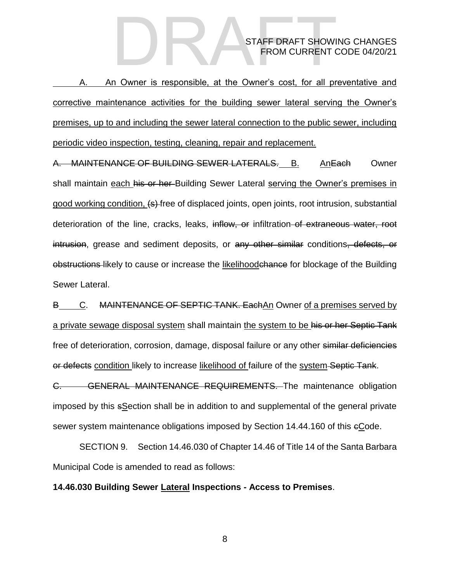A. An Owner is responsible, at the Owner's cost, for all preventative and corrective maintenance activities for the building sewer lateral serving the Owner's premises, up to and including the sewer lateral connection to the public sewer, including periodic video inspection, testing, cleaning, repair and replacement.

A. MAINTENANCE OF BUILDING SEWER LATERALS. B. AnEach Owner shall maintain each his or her Building Sewer Lateral serving the Owner's premises in good working condition,  $\left( \epsilon \right)$ -free of displaced joints, open joints, root intrusion, substantial deterioration of the line, cracks, leaks, inflow, or infiltration of extraneous water, root intrusion, grease and sediment deposits, or any other similar conditions, defects, or obstructions likely to cause or increase the likelihoodchance for blockage of the Building Sewer Lateral.

B C. MAINTENANCE OF SEPTIC TANK. Each An Owner of a premises served by a private sewage disposal system shall maintain the system to be his or her Septic Tank free of deterioration, corrosion, damage, disposal failure or any other similar deficiencies or defects condition likely to increase likelihood of failure of the system Septic Tank.

C. GENERAL MAINTENANCE REQUIREMENTS. The maintenance obligation imposed by this sSection shall be in addition to and supplemental of the general private sewer system maintenance obligations imposed by Section 14.44.160 of this cCode.

SECTION 9. Section 14.46.030 of Chapter 14.46 of Title 14 of the Santa Barbara Municipal Code is amended to read as follows:

#### **14.46.030 Building Sewer Lateral Inspections - Access to Premises**.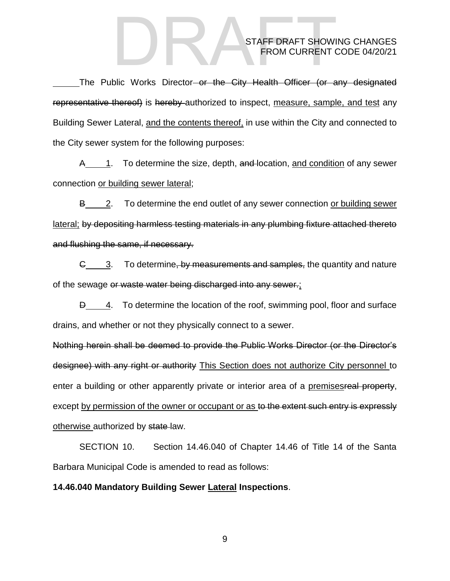The Public Works Director-or the City Health Officer (or any designated representative thereof) is hereby authorized to inspect, measure, sample, and test any Building Sewer Lateral, and the contents thereof, in use within the City and connected to the City sewer system for the following purposes:

A 1. To determine the size, depth, and location, and condition of any sewer connection or building sewer lateral;

B 2. To determine the end outlet of any sewer connection or building sewer lateral; by depositing harmless testing materials in any plumbing fixture attached thereto and flushing the same, if necessary.

G 3. To determine, by measurements and samples, the quantity and nature of the sewage or waste water being discharged into any sewer.;

**D** 4. To determine the location of the roof, swimming pool, floor and surface drains, and whether or not they physically connect to a sewer.

Nothing herein shall be deemed to provide the Public Works Director (or the Director's designee) with any right or authority This Section does not authorize City personnel to enter a building or other apparently private or interior area of a premises real property, except by permission of the owner or occupant or as to the extent such entry is expressly otherwise authorized by state law.

SECTION 10. Section 14.46.040 of Chapter 14.46 of Title 14 of the Santa Barbara Municipal Code is amended to read as follows:

#### **14.46.040 Mandatory Building Sewer Lateral Inspections**.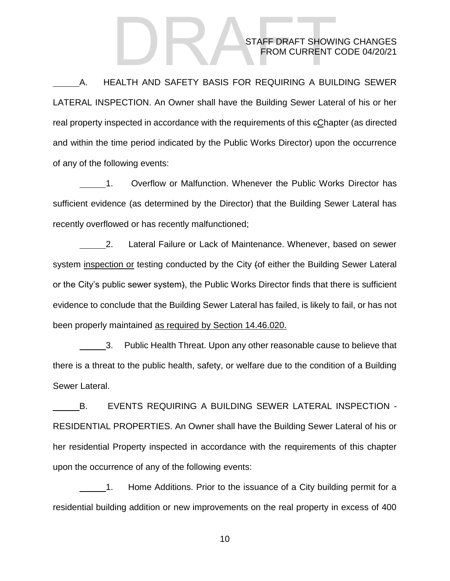A. HEALTH AND SAFETY BASIS FOR REQUIRING A BUILDING SEWER LATERAL INSPECTION. An Owner shall have the Building Sewer Lateral of his or her real property inspected in accordance with the requirements of this cChapter (as directed and within the time period indicated by the Public Works Director) upon the occurrence of any of the following events:

1. Overflow or Malfunction. Whenever the Public Works Director has sufficient evidence (as determined by the Director) that the Building Sewer Lateral has recently overflowed or has recently malfunctioned;

2. Lateral Failure or Lack of Maintenance. Whenever, based on sewer system inspection or testing conducted by the City (of either the Building Sewer Lateral or the City's public sewer system), the Public Works Director finds that there is sufficient evidence to conclude that the Building Sewer Lateral has failed, is likely to fail, or has not been properly maintained as required by Section 14.46.020.

3. Public Health Threat. Upon any other reasonable cause to believe that there is a threat to the public health, safety, or welfare due to the condition of a Building Sewer Lateral.

B. EVENTS REQUIRING A BUILDING SEWER LATERAL INSPECTION - RESIDENTIAL PROPERTIES. An Owner shall have the Building Sewer Lateral of his or her residential Property inspected in accordance with the requirements of this chapter upon the occurrence of any of the following events:

1. Home Additions. Prior to the issuance of a City building permit for a residential building addition or new improvements on the real property in excess of 400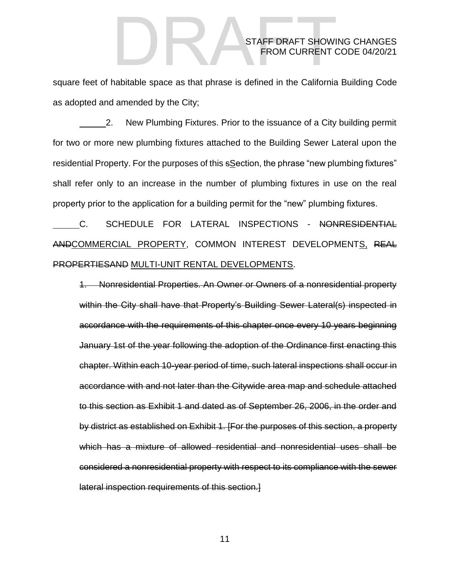square feet of habitable space as that phrase is defined in the California Building Code as adopted and amended by the City;

2. New Plumbing Fixtures. Prior to the issuance of a City building permit for two or more new plumbing fixtures attached to the Building Sewer Lateral upon the residential Property. For the purposes of this section, the phrase "new plumbing fixtures" shall refer only to an increase in the number of plumbing fixtures in use on the real property prior to the application for a building permit for the "new" plumbing fixtures.

C. SCHEDULE FOR LATERAL INSPECTIONS - NONRESIDENTIAL ANDCOMMERCIAL PROPERTY, COMMON INTEREST DEVELOPMENTS, REAL PROPERTIESAND MULTI-UNIT RENTAL DEVELOPMENTS.

1. Nonresidential Properties. An Owner or Owners of a nonresidential property within the City shall have that Property's Building Sewer Lateral(s) inspected in accordance with the requirements of this chapter once every 10 years beginning January 1st of the year following the adoption of the Ordinance first enacting this chapter. Within each 10-year period of time, such lateral inspections shall occur in accordance with and not later than the Citywide area map and schedule attached to this section as Exhibit 1 and dated as of September 26, 2006, in the order and by district as established on Exhibit 1. [For the purposes of this section, a property which has a mixture of allowed residential and nonresidential uses shall be considered a nonresidential property with respect to its compliance with the sewer lateral inspection requirements of this section.]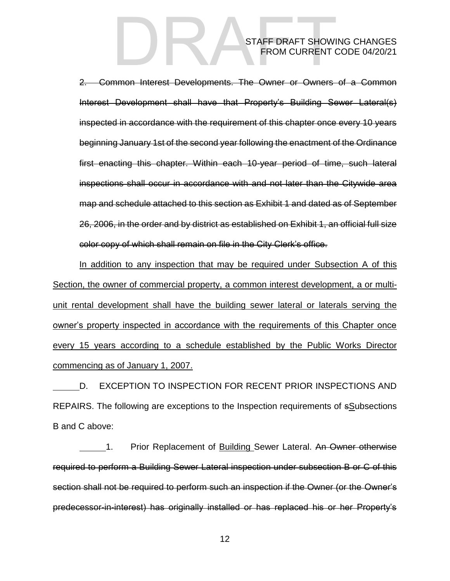2. Common Interest Developments. The Owner or Owners of a Common Interest Development shall have that Property's Building Sewer Lateral(s) inspected in accordance with the requirement of this chapter once every 10 years beginning January 1st of the second year following the enactment of the Ordinance first enacting this chapter. Within each 10-year period of time, such lateral inspections shall occur in accordance with and not later than the Citywide area map and schedule attached to this section as Exhibit 1 and dated as of September 26, 2006, in the order and by district as established on Exhibit 1, an official full size color copy of which shall remain on file in the City Clerk's office.

In addition to any inspection that may be required under Subsection A of this Section, the owner of commercial property, a common interest development, a or multiunit rental development shall have the building sewer lateral or laterals serving the owner's property inspected in accordance with the requirements of this Chapter once every 15 years according to a schedule established by the Public Works Director commencing as of January 1, 2007.

D. EXCEPTION TO INSPECTION FOR RECENT PRIOR INSPECTIONS AND REPAIRS. The following are exceptions to the Inspection requirements of sSubsections B and C above:

1. Prior Replacement of Building Sewer Lateral. An Owner otherwise required to perform a Building Sewer Lateral inspection under subsection B or C of this section shall not be required to perform such an inspection if the Owner (or the Owner's predecessor-in-interest) has originally installed or has replaced his or her Property's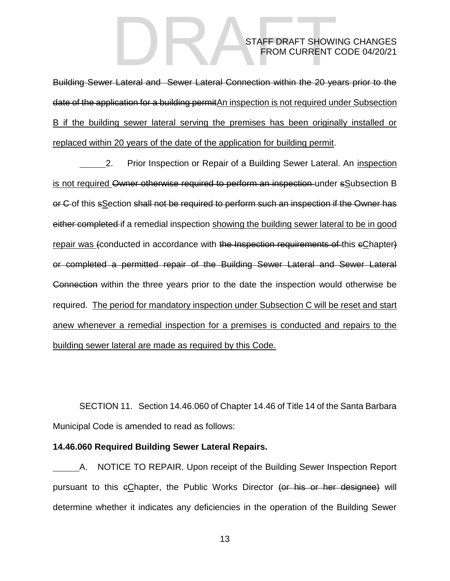Building Sewer Lateral and Sewer Lateral Connection within the 20 years prior to the date of the application for a building permitAn inspection is not required under Subsection B if the building sewer lateral serving the premises has been originally installed or replaced within 20 years of the date of the application for building permit.

2. Prior Inspection or Repair of a Building Sewer Lateral. An inspection is not required Owner otherwise required to perform an inspection under sSubsection B or C of this sSection shall not be required to perform such an inspection if the Owner has either completed if a remedial inspection showing the building sewer lateral to be in good repair was (conducted in accordance with the Inspection requirements of this eChapter) or completed a permitted repair of the Building Sewer Lateral and Sewer Lateral Connection within the three years prior to the date the inspection would otherwise be required. The period for mandatory inspection under Subsection C will be reset and start anew whenever a remedial inspection for a premises is conducted and repairs to the building sewer lateral are made as required by this Code.

SECTION 11. Section 14.46.060 of Chapter 14.46 of Title 14 of the Santa Barbara Municipal Code is amended to read as follows:

#### **14.46.060 Required Building Sewer Lateral Repairs.**

A. NOTICE TO REPAIR. Upon receipt of the Building Sewer Inspection Report pursuant to this eChapter, the Public Works Director (or his or her designee) will determine whether it indicates any deficiencies in the operation of the Building Sewer